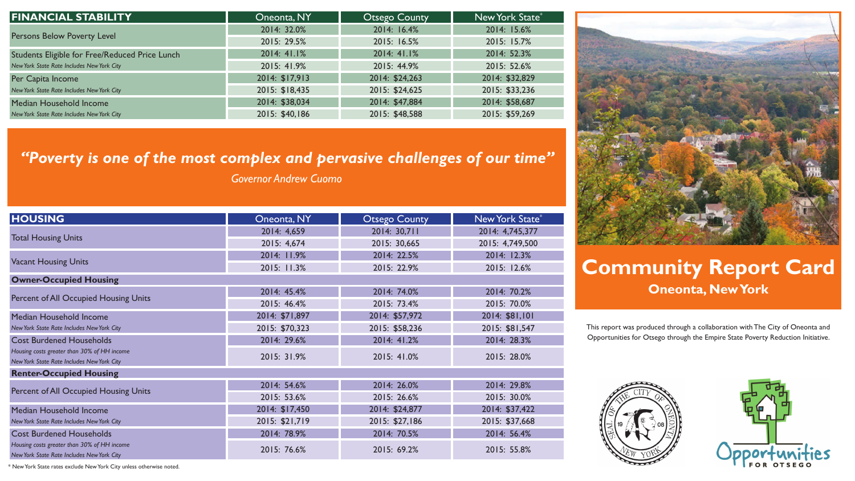## **Community Report Card Oneonta, New York**



This report was produced through a collaboration with The City of Oneonta and Opportunities for Otsego through the Empire State Poverty Reduction Initiative.



| <b>HOUSING</b>                                                                            | Oneonta, NY    | <b>Otsego County</b> | New York State* |
|-------------------------------------------------------------------------------------------|----------------|----------------------|-----------------|
| <b>Total Housing Units</b>                                                                | 2014: 4,659    | 2014: 30,711         | 2014: 4,745,377 |
|                                                                                           | 2015: 4,674    | 2015: 30,665         | 2015: 4,749,500 |
| <b>Vacant Housing Units</b>                                                               | 2014: 11.9%    | 2014: 22.5%          | 2014: 12.3%     |
|                                                                                           | 2015: 11.3%    | 2015: 22.9%          | 2015: 12.6%     |
| <b>Owner-Occupied Housing</b>                                                             |                |                      |                 |
| Percent of All Occupied Housing Units                                                     | 2014: 45.4%    | 2014: 74.0%          | 2014: 70.2%     |
|                                                                                           | 2015: 46.4%    | 2015: 73.4%          | 2015: 70.0%     |
| Median Household Income                                                                   | 2014: \$71,897 | 2014: \$57,972       | 2014: \$81,101  |
| New York State Rate Includes New York City                                                | 2015: \$70,323 | 2015: \$58,236       | 2015: \$81,547  |
| <b>Cost Burdened Households</b>                                                           | 2014: 29.6%    | 2014: 41.2%          | 2014: 28.3%     |
| Housing costs greater than 30% of HH income<br>New York State Rate Includes New York City | 2015: 31.9%    | 2015: 41.0%          | 2015: 28.0%     |
| <b>Renter-Occupied Housing</b>                                                            |                |                      |                 |
| Percent of All Occupied Housing Units                                                     | 2014: 54.6%    | 2014: 26.0%          | 2014: 29.8%     |
|                                                                                           | 2015: 53.6%    | 2015: 26.6%          | 2015: 30.0%     |
| Median Household Income                                                                   | 2014: \$17,450 | 2014: \$24,877       | 2014: \$37,422  |
| New York State Rate Includes New York City                                                | 2015: \$21,719 | 2015: \$27,186       | 2015: \$37,668  |
| <b>Cost Burdened Households</b>                                                           | 2014: 78.9%    | 2014: 70.5%          | 2014: 56.4%     |
| Housing costs greater than 30% of HH income<br>New York State Rate Includes New York City | 2015: 76.6%    | 2015: 69.2%          | 2015: 55.8%     |



| <b>FINANCIAL STABILITY</b>                     | Oneonta, NY    | <b>Otsego County</b> | New York State* |
|------------------------------------------------|----------------|----------------------|-----------------|
| Persons Below Poverty Level                    | 2014: 32.0%    | 2014: 16.4%          | 2014: 15.6%     |
|                                                | 2015: 29.5%    | 2015: 16.5%          | 2015: 15.7%     |
| Students Eligible for Free/Reduced Price Lunch | 2014: 41.1%    | 2014:41.1%           | 2014: 52.3%     |
| New York State Rate Includes New York City     | 2015: 41.9%    | 2015: 44.9%          | 2015: 52.6%     |
| Per Capita Income                              | 2014: \$17,913 | 2014: \$24,263       | 2014: \$32,829  |
| New York State Rate Includes New York City     | 2015: \$18,435 | 2015: \$24,625       | 2015: \$33,236  |
| Median Household Income                        | 2014: \$38,034 | 2014: \$47,884       | 2014: \$58,687  |
| New York State Rate Includes New York City     | 2015: \$40,186 | 2015: \$48,588       | 2015: \$59,269  |

## *"Poverty is one of the most complex and pervasive challenges of our time"*

*Governor Andrew Cuomo*

\* New York State rates exclude New York City unless otherwise noted.